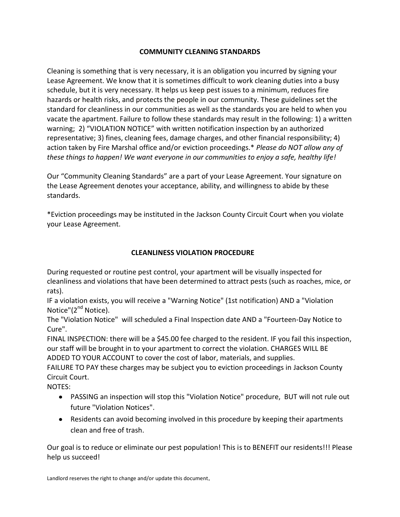# **COMMUNITY CLEANING STANDARDS**

Cleaning is something that is very necessary, it is an obligation you incurred by signing your Lease Agreement. We know that it is sometimes difficult to work cleaning duties into a busy schedule, but it is very necessary. It helps us keep pest issues to a minimum, reduces fire hazards or health risks, and protects the people in our community. These guidelines set the standard for cleanliness in our communities as well as the standards you are held to when you vacate the apartment. Failure to follow these standards may result in the following: 1) a written warning; 2) "VIOLATION NOTICE" with written notification inspection by an authorized representative; 3) fines, cleaning fees, damage charges, and other financial responsibility; 4) action taken by Fire Marshal office and/or eviction proceedings.\* *Please do NOT allow any of these things to happen! We want everyone in our communities to enjoy a safe, healthy life!*

Our "Community Cleaning Standards" are a part of your Lease Agreement. Your signature on the Lease Agreement denotes your acceptance, ability, and willingness to abide by these standards.

\*Eviction proceedings may be instituted in the Jackson County Circuit Court when you violate your Lease Agreement.

# **CLEANLINESS VIOLATION PROCEDURE**

During requested or routine pest control, your apartment will be visually inspected for cleanliness and violations that have been determined to attract pests (such as roaches, mice, or rats).

IF a violation exists, you will receive a "Warning Notice" (1st notification) AND a "Violation Notice"(2<sup>nd</sup> Notice).

The "Violation Notice" will scheduled a Final Inspection date AND a "Fourteen-Day Notice to Cure".

FINAL INSPECTION: there will be a \$45.00 fee charged to the resident. IF you fail this inspection, our staff will be brought in to your apartment to correct the violation. CHARGES WILL BE ADDED TO YOUR ACCOUNT to cover the cost of labor, materials, and supplies.

FAILURE TO PAY these charges may be subject you to eviction proceedings in Jackson County Circuit Court.

NOTES:

- PASSING an inspection will stop this "Violation Notice" procedure, BUT will not rule out future "Violation Notices".
- Residents can avoid becoming involved in this procedure by keeping their apartments clean and free of trash.

Our goal is to reduce or eliminate our pest population! This is to BENEFIT our residents!!! Please help us succeed!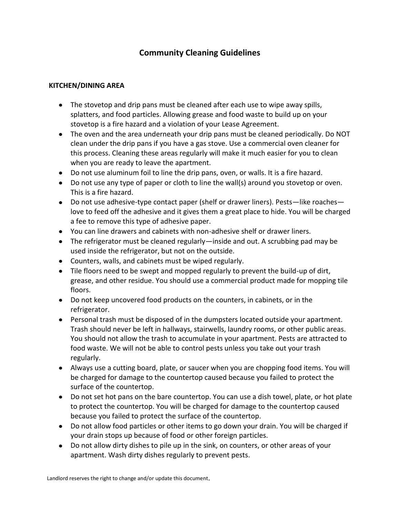# **Community Cleaning Guidelines**

## **KITCHEN/DINING AREA**

- The stovetop and drip pans must be cleaned after each use to wipe away spills, splatters, and food particles. Allowing grease and food waste to build up on your stovetop is a fire hazard and a violation of your Lease Agreement.
- The oven and the area underneath your drip pans must be cleaned periodically. Do NOT clean under the drip pans if you have a gas stove. Use a commercial oven cleaner for this process. Cleaning these areas regularly will make it much easier for you to clean when you are ready to leave the apartment.
- Do not use aluminum foil to line the drip pans, oven, or walls. It is a fire hazard.
- Do not use any type of paper or cloth to line the wall(s) around you stovetop or oven. This is a fire hazard.
- Do not use adhesive-type contact paper (shelf or drawer liners). Pests—like roaches love to feed off the adhesive and it gives them a great place to hide. You will be charged a fee to remove this type of adhesive paper.
- You can line drawers and cabinets with non-adhesive shelf or drawer liners.
- The refrigerator must be cleaned regularly—inside and out. A scrubbing pad may be used inside the refrigerator, but not on the outside.
- Counters, walls, and cabinets must be wiped regularly.
- Tile floors need to be swept and mopped regularly to prevent the build-up of dirt, grease, and other residue. You should use a commercial product made for mopping tile floors.
- Do not keep uncovered food products on the counters, in cabinets, or in the refrigerator.
- Personal trash must be disposed of in the dumpsters located outside your apartment. Trash should never be left in hallways, stairwells, laundry rooms, or other public areas. You should not allow the trash to accumulate in your apartment. Pests are attracted to food waste. We will not be able to control pests unless you take out your trash regularly.
- Always use a cutting board, plate, or saucer when you are chopping food items. You will be charged for damage to the countertop caused because you failed to protect the surface of the countertop.
- Do not set hot pans on the bare countertop. You can use a dish towel, plate, or hot plate to protect the countertop. You will be charged for damage to the countertop caused because you failed to protect the surface of the countertop.
- Do not allow food particles or other items to go down your drain. You will be charged if your drain stops up because of food or other foreign particles.
- Do not allow dirty dishes to pile up in the sink, on counters, or other areas of your apartment. Wash dirty dishes regularly to prevent pests.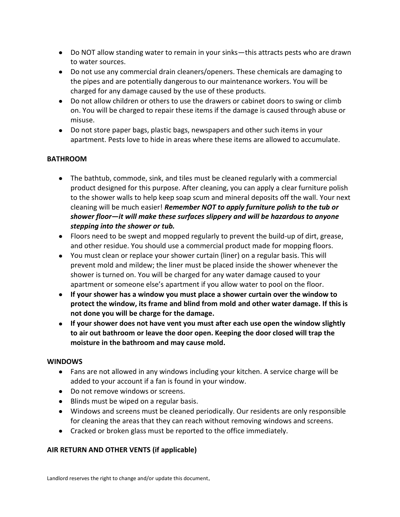- Do NOT allow standing water to remain in your sinks—this attracts pests who are drawn to water sources.
- Do not use any commercial drain cleaners/openers. These chemicals are damaging to the pipes and are potentially dangerous to our maintenance workers. You will be charged for any damage caused by the use of these products.
- Do not allow children or others to use the drawers or cabinet doors to swing or climb on. You will be charged to repair these items if the damage is caused through abuse or misuse.
- Do not store paper bags, plastic bags, newspapers and other such items in your apartment. Pests love to hide in areas where these items are allowed to accumulate.

# **BATHROOM**

- The bathtub, commode, sink, and tiles must be cleaned regularly with a commercial product designed for this purpose. After cleaning, you can apply a clear furniture polish to the shower walls to help keep soap scum and mineral deposits off the wall. Your next cleaning will be much easier! *Remember NOT to apply furniture polish to the tub or shower floor—it will make these surfaces slippery and will be hazardous to anyone stepping into the shower or tub.*
- Floors need to be swept and mopped regularly to prevent the build-up of dirt, grease, and other residue. You should use a commercial product made for mopping floors.
- You must clean or replace your shower curtain (liner) on a regular basis. This will prevent mold and mildew; the liner must be placed inside the shower whenever the shower is turned on. You will be charged for any water damage caused to your apartment or someone else's apartment if you allow water to pool on the floor.
- **If your shower has a window you must place a shower curtain over the window to protect the window, its frame and blind from mold and other water damage. If this is not done you will be charge for the damage.**
- **If your shower does not have vent you must after each use open the window slightly to air out bathroom or leave the door open. Keeping the door closed will trap the moisture in the bathroom and may cause mold.**

#### **WINDOWS**

- Fans are not allowed in any windows including your kitchen. A service charge will be added to your account if a fan is found in your window.
- Do not remove windows or screens.
- Blinds must be wiped on a regular basis.
- Windows and screens must be cleaned periodically. Our residents are only responsible for cleaning the areas that they can reach without removing windows and screens.
- Cracked or broken glass must be reported to the office immediately.

# **AIR RETURN AND OTHER VENTS (if applicable)**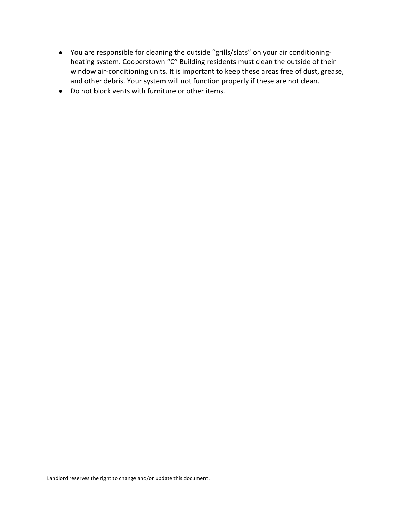- You are responsible for cleaning the outside "grills/slats" on your air conditioningheating system. Cooperstown "C" Building residents must clean the outside of their window air-conditioning units. It is important to keep these areas free of dust, grease, and other debris. Your system will not function properly if these are not clean.
- Do not block vents with furniture or other items.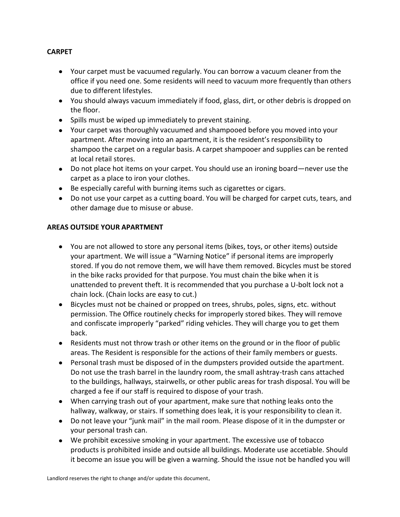## **CARPET**

- Your carpet must be vacuumed regularly. You can borrow a vacuum cleaner from the office if you need one. Some residents will need to vacuum more frequently than others due to different lifestyles.
- You should always vacuum immediately if food, glass, dirt, or other debris is dropped on the floor.
- Spills must be wiped up immediately to prevent staining.
- Your carpet was thoroughly vacuumed and shampooed before you moved into your apartment. After moving into an apartment, it is the resident's responsibility to shampoo the carpet on a regular basis. A carpet shampooer and supplies can be rented at local retail stores.
- Do not place hot items on your carpet. You should use an ironing board—never use the carpet as a place to iron your clothes.
- Be especially careful with burning items such as cigarettes or cigars.
- Do not use your carpet as a cutting board. You will be charged for carpet cuts, tears, and other damage due to misuse or abuse.

## **AREAS OUTSIDE YOUR APARTMENT**

- You are not allowed to store any personal items (bikes, toys, or other items) outside your apartment. We will issue a "Warning Notice" if personal items are improperly stored. If you do not remove them, we will have them removed. Bicycles must be stored in the bike racks provided for that purpose. You must chain the bike when it is unattended to prevent theft. It is recommended that you purchase a U-bolt lock not a chain lock. (Chain locks are easy to cut.)
- Bicycles must not be chained or propped on trees, shrubs, poles, signs, etc. without permission. The Office routinely checks for improperly stored bikes. They will remove and confiscate improperly "parked" riding vehicles. They will charge you to get them back.
- Residents must not throw trash or other items on the ground or in the floor of public areas. The Resident is responsible for the actions of their family members or guests.
- Personal trash must be disposed of in the dumpsters provided outside the apartment. Do not use the trash barrel in the laundry room, the small ashtray-trash cans attached to the buildings, hallways, stairwells, or other public areas for trash disposal. You will be charged a fee if our staff is required to dispose of your trash.
- When carrying trash out of your apartment, make sure that nothing leaks onto the hallway, walkway, or stairs. If something does leak, it is your responsibility to clean it.
- Do not leave your "junk mail" in the mail room. Please dispose of it in the dumpster or your personal trash can.
- We prohibit excessive smoking in your apartment. The excessive use of tobacco products is prohibited inside and outside all buildings. Moderate use accetiable. Should it become an issue you will be given a warning. Should the issue not be handled you will